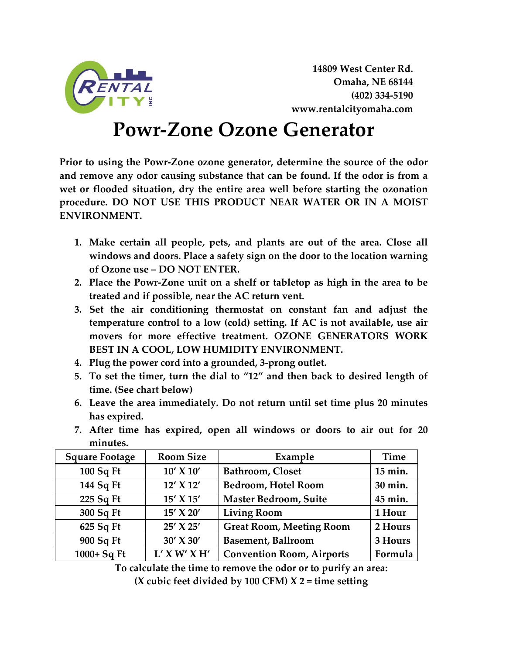

**14809 West Center Rd. Omaha, NE 68144 (402) 334-5190 www.rentalcityomaha.com**

## **Powr-Zone Ozone Generator**

**Prior to using the Powr-Zone ozone generator, determine the source of the odor and remove any odor causing substance that can be found. If the odor is from a wet or flooded situation, dry the entire area well before starting the ozonation procedure. DO NOT USE THIS PRODUCT NEAR WATER OR IN A MOIST ENVIRONMENT.** 

- **1. Make certain all people, pets, and plants are out of the area. Close all windows and doors. Place a safety sign on the door to the location warning of Ozone use – DO NOT ENTER.**
- **2. Place the Powr-Zone unit on a shelf or tabletop as high in the area to be treated and if possible, near the AC return vent.**
- **3. Set the air conditioning thermostat on constant fan and adjust the temperature control to a low (cold) setting. If AC is not available, use air movers for more effective treatment. OZONE GENERATORS WORK BEST IN A COOL, LOW HUMIDITY ENVIRONMENT.**
- **4. Plug the power cord into a grounded, 3-prong outlet.**
- **5. To set the timer, turn the dial to "12" and then back to desired length of time. (See chart below)**
- **6. Leave the area immediately. Do not return until set time plus 20 minutes has expired.**
- **7. After time has expired, open all windows or doors to air out for 20 minutes.**

| <b>Square Footage</b> | <b>Room Size</b> | Example                          | Time    |
|-----------------------|------------------|----------------------------------|---------|
| $100$ Sq Ft           | $10'$ X $10'$    | Bathroom, Closet                 | 15 min. |
| 144 Sq Ft             | 12' X 12'        | <b>Bedroom, Hotel Room</b>       | 30 min. |
| 225 Sq Ft             | 15' X 15'        | <b>Master Bedroom, Suite</b>     | 45 min. |
| 300 Sq Ft             | 15' X 20'        | <b>Living Room</b>               | 1 Hour  |
| 625 Sq Ft             | 25' X 25'        | <b>Great Room, Meeting Room</b>  | 2 Hours |
| 900 Sq Ft             | 30' X 30'        | <b>Basement, Ballroom</b>        | 3 Hours |
| 1000+ Sq Ft           | $L'$ X W' X H'   | <b>Convention Room, Airports</b> | Formula |

**To calculate the time to remove the odor or to purify an area:**

**(X cubic feet divided by 100 CFM) X 2 = time setting**